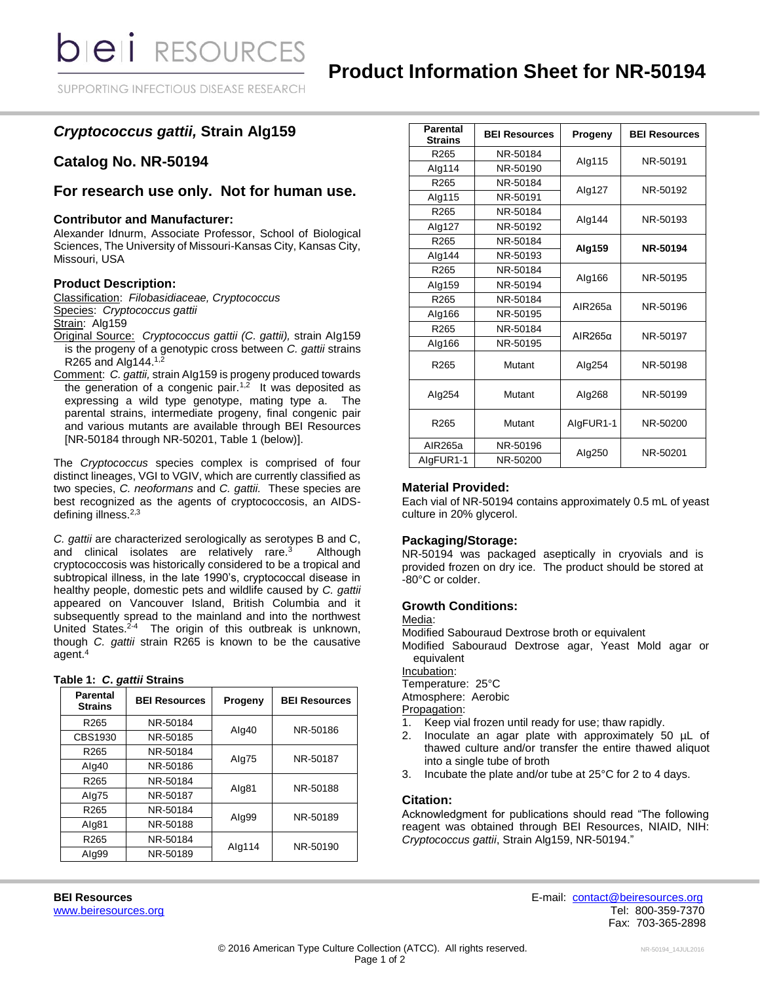SUPPORTING INFECTIOUS DISEASE RESEARCH

# *Cryptococcus gattii,* **Strain Alg159**

# **Catalog No. NR-50194**

# **For research use only. Not for human use.**

# **Contributor and Manufacturer:**

Alexander Idnurm, Associate Professor, School of Biological Sciences, The University of Missouri-Kansas City, Kansas City, Missouri, USA

# **Product Description:**

Classification: *Filobasidiaceae, Cryptococcus* Species: *Cryptococcus gattii* Strain: Alg159

- Original Source: *Cryptococcus gattii (C. gattii),* strain AIg159 is the progeny of a genotypic cross between *C. gattii* strains R265 and Alg144. $1,2$
- Comment: *C. gattii,* strain AIg159 is progeny produced towards the generation of a congenic pair.<sup>1,2</sup> It was deposited as expressing a wild type genotype, mating type a. The parental strains, intermediate progeny, final congenic pair and various mutants are available through BEI Resources [NR-50184 through NR-50201, Table 1 (below)].

The *Cryptococcus* species complex is comprised of four distinct lineages, VGI to VGIV, which are currently classified as two species, *C. neoformans* and *C. gattii.* These species are best recognized as the agents of cryptococcosis, an AIDSdefining illness.2,3

*C. gattii* are characterized serologically as serotypes B and C, and clinical isolates are relatively rare.<sup>3</sup> Although cryptococcosis was historically considered to be a tropical and subtropical illness, in the late 1990's, cryptococcal disease in healthy people, domestic pets and wildlife caused by *C. gattii* appeared on Vancouver Island, British Columbia and it subsequently spread to the mainland and into the northwest United States.<sup>2-4</sup> The origin of this outbreak is unknown, though *C. gattii* strain R265 is known to be the causative agent.<sup>4</sup>

|  |  |  |  | Table 1: C. gattii Strains |
|--|--|--|--|----------------------------|
|--|--|--|--|----------------------------|

| <b>Parental</b><br><b>Strains</b> | <b>BEI Resources</b> | Progeny | <b>BEI Resources</b> |
|-----------------------------------|----------------------|---------|----------------------|
| R <sub>265</sub>                  | NR-50184             |         | NR-50186             |
| CBS1930                           | NR-50185             | Alg40   |                      |
| R <sub>265</sub>                  | NR-50184             | Alg75   | NR-50187             |
| Alg40                             | NR-50186             |         |                      |
| R <sub>265</sub>                  | NR-50184             | Alg81   | NR-50188             |
| Alg75                             | NR-50187             |         |                      |
| R <sub>265</sub>                  | NR-50184             |         | NR-50189             |
| Alg81                             | NR-50188             | Alg99   |                      |
| R <sub>265</sub>                  | NR-50184             |         | NR-50190             |
| Alg99                             | NR-50189             | Alg114  |                      |

| Parental<br><b>Strains</b> | <b>BEI Resources</b>            | Progeny   | <b>BEI Resources</b> |
|----------------------------|---------------------------------|-----------|----------------------|
| R <sub>265</sub>           | NR-50184                        | Alg115    | NR-50191             |
| Alg114                     | NR-50190                        |           |                      |
| R <sub>265</sub>           | NR-50184                        | Alg127    | NR-50192             |
| Alg115                     | NR-50191                        |           |                      |
| R <sub>265</sub>           | NR-50184                        | Alg144    | NR-50193             |
| Alg127                     | NR-50192                        |           |                      |
| R <sub>265</sub>           | NR-50184                        | Alg159    | NR-50194             |
| Alg144                     | NR-50193                        |           |                      |
| R <sub>265</sub>           | NR-50184                        |           | NR-50195             |
| Alg159                     | NR-50194                        | Alg166    |                      |
| R <sub>265</sub>           | NR-50184                        | AIR265a   | NR-50196             |
| Alg166                     | NR-50195                        |           |                      |
| R265                       | NR-50184<br>AlR265 <sub>a</sub> |           | NR-50197             |
| Alg166                     | NR-50195                        |           |                      |
| R <sub>265</sub>           | Mutant                          | Alg254    | NR-50198             |
| Alg254                     | Mutant                          | Alg268    | NR-50199             |
| R <sub>265</sub>           | Mutant                          | AlgFUR1-1 | NR-50200             |
| AIR265a                    | NR-50196                        |           | NR-50201             |
| AlgFUR1-1                  | NR-50200                        | Alg250    |                      |

### **Material Provided:**

Each vial of NR-50194 contains approximately 0.5 mL of yeast culture in 20% glycerol.

# **Packaging/Storage:**

NR-50194 was packaged aseptically in cryovials and is provided frozen on dry ice. The product should be stored at -80°C or colder.

#### **Growth Conditions:**

Media:

Modified Sabouraud Dextrose broth or equivalent

Modified Sabouraud Dextrose agar, Yeast Mold agar or equivalent

Incubation:

Temperature: 25°C

Atmosphere: Aerobic

Propagation:

- 1. Keep vial frozen until ready for use; thaw rapidly.
- 2. Inoculate an agar plate with approximately 50 µL of thawed culture and/or transfer the entire thawed aliquot into a single tube of broth
- 3. Incubate the plate and/or tube at 25°C for 2 to 4 days.

### **Citation:**

Acknowledgment for publications should read "The following reagent was obtained through BEI Resources, NIAID, NIH: *Cryptococcus gattii*, Strain Alg159, NR-50194."

**BEI Resources** E-mail: [contact@beiresources.org](mailto:contact@beiresources.org) [www.beiresources.org](http://www.beiresources.org/) Network and the second state of the second state of the second state of the second state of the second state of the second state of the second state of the second state of the second state of the secon Fax: 703-365-2898